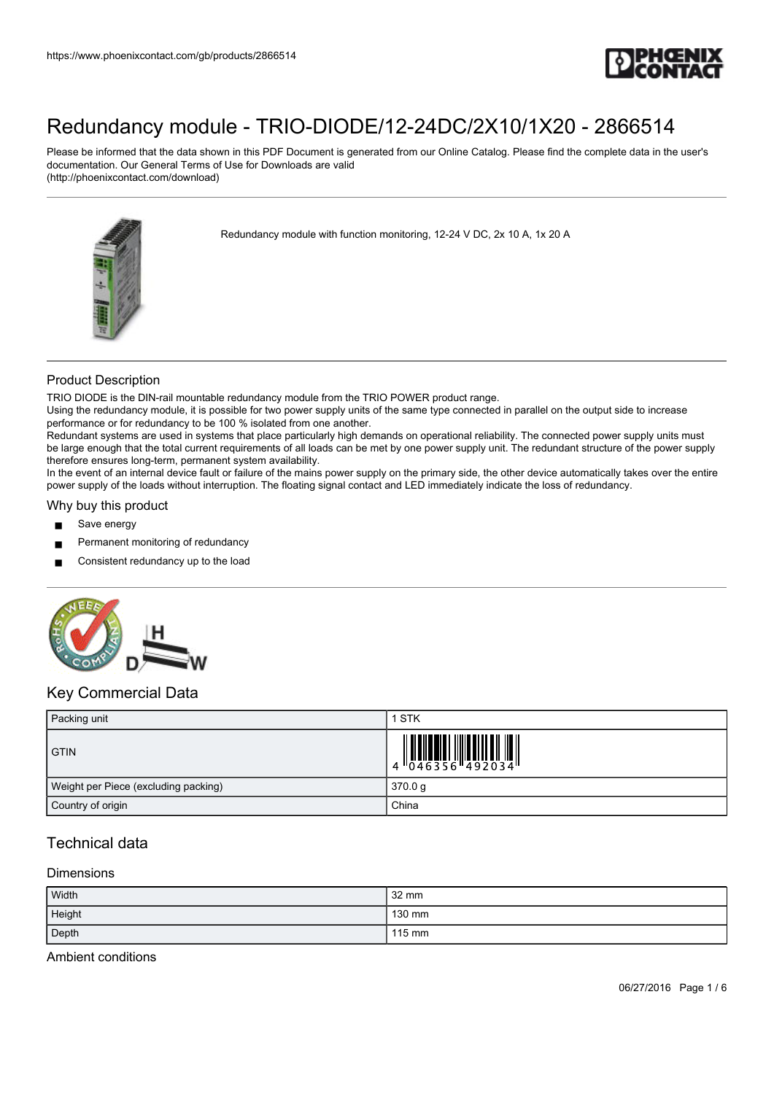

Please be informed that the data shown in this PDF Document is generated from our Online Catalog. Please find the complete data in the user's documentation. Our General Terms of Use for Downloads are valid (http://phoenixcontact.com/download)



Redundancy module with function monitoring, 12-24 V DC, 2x 10 A, 1x 20 A

### Product Description

TRIO DIODE is the DIN-rail mountable redundancy module from the TRIO POWER product range.

Using the redundancy module, it is possible for two power supply units of the same type connected in parallel on the output side to increase performance or for redundancy to be 100 % isolated from one another.

Redundant systems are used in systems that place particularly high demands on operational reliability. The connected power supply units must be large enough that the total current requirements of all loads can be met by one power supply unit. The redundant structure of the power supply therefore ensures long-term, permanent system availability.

In the event of an internal device fault or failure of the mains power supply on the primary side, the other device automatically takes over the entire power supply of the loads without interruption. The floating signal contact and LED immediately indicate the loss of redundancy.

#### Why buy this product

- Save energy
- Permanent monitoring of redundancy
- Consistent redundancy up to the load



### Key Commercial Data

| Packing unit                         | 1 STK                                                                                                  |
|--------------------------------------|--------------------------------------------------------------------------------------------------------|
| <b>GTIN</b>                          | $\begin{array}{c} 1 & 0 & 0 & 0 \\ 0 & 0 & 4 & 6 & 3 & 5 & 6 \\ 0 & 0 & 4 & 6 & 3 & 5 & 6 \end{array}$ |
| Weight per Piece (excluding packing) | 370.0 g                                                                                                |
| Country of origin                    | China                                                                                                  |

## Technical data

#### Dimensions

| Width  | 32 mm  |
|--------|--------|
| Height | 130 mm |
| Depth  | 115 mm |

Ambient conditions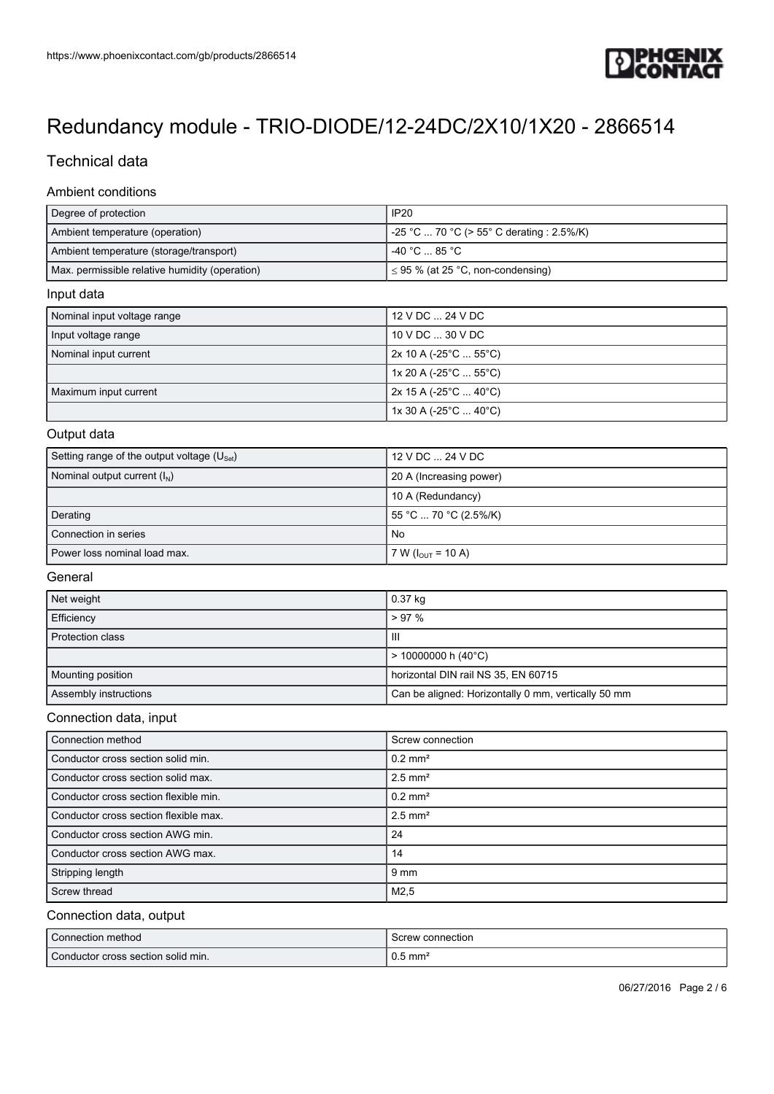

## Technical data

### Ambient conditions

| Degree of protection                           | <b>IP20</b>                               |
|------------------------------------------------|-------------------------------------------|
| Ambient temperature (operation)                | -25 °C  70 °C (> 55° C derating : 2.5%/K) |
| Ambient temperature (storage/transport)        | $-40 °C$ $-85 °C$                         |
| Max. permissible relative humidity (operation) | $\leq$ 95 % (at 25 °C, non-condensing)    |
| Input data                                     |                                           |
| Nominal input voltage range                    | 12 V DC  24 V DC                          |
| Input voltage range                            | 10 V DC  30 V DC                          |
|                                                |                                           |

| Nominal input current | 2x 10 A (-25°C  55°C)                 |
|-----------------------|---------------------------------------|
|                       | $1x 20 A (-25^{\circ}C  55^{\circ}C)$ |
| Maximum input current | $2x 15 A (-25^{\circ}C  40^{\circ}C)$ |
|                       | 1x 30 A (-25°C  40°C)                 |

#### Output data

| Setting range of the output voltage $(U_{\text{Set}})$ | 12 V DC  24 V DC               |
|--------------------------------------------------------|--------------------------------|
| Nominal output current $(I_N)$                         | 20 A (Increasing power)        |
|                                                        | 10 A (Redundancy)              |
| Derating                                               | 55 °C  70 °C (2.5%/K)          |
| Connection in series                                   | No                             |
| Power loss nominal load max.                           | 7 W ( $I_{\text{OUT}}$ = 10 A) |

#### General

| Net weight              | $0.37$ kg                                           |
|-------------------------|-----------------------------------------------------|
| Efficiency              | $> 97\%$                                            |
| <b>Protection class</b> | Ш                                                   |
|                         | $\vert$ > 10000000 h (40°C)                         |
| Mounting position       | horizontal DIN rail NS 35, EN 60715                 |
| Assembly instructions   | Can be aligned: Horizontally 0 mm, vertically 50 mm |

#### Connection data, input

| Connection method                     | Screw connection      |
|---------------------------------------|-----------------------|
| Conductor cross section solid min.    | $0.2$ mm <sup>2</sup> |
| Conductor cross section solid max.    | $2.5$ mm <sup>2</sup> |
| Conductor cross section flexible min. | $0.2$ mm <sup>2</sup> |
| Conductor cross section flexible max. | $2.5$ mm <sup>2</sup> |
| Conductor cross section AWG min.      | 24                    |
| Conductor cross section AWG max.      | 14                    |
| Stripping length                      | 9 mm                  |
| Screw thread                          | M2.5                  |

#### Connection data, output

| Connection method                  | Screw connection   |
|------------------------------------|--------------------|
| Conductor cross section solid min. | $0.5 \text{ mm}^2$ |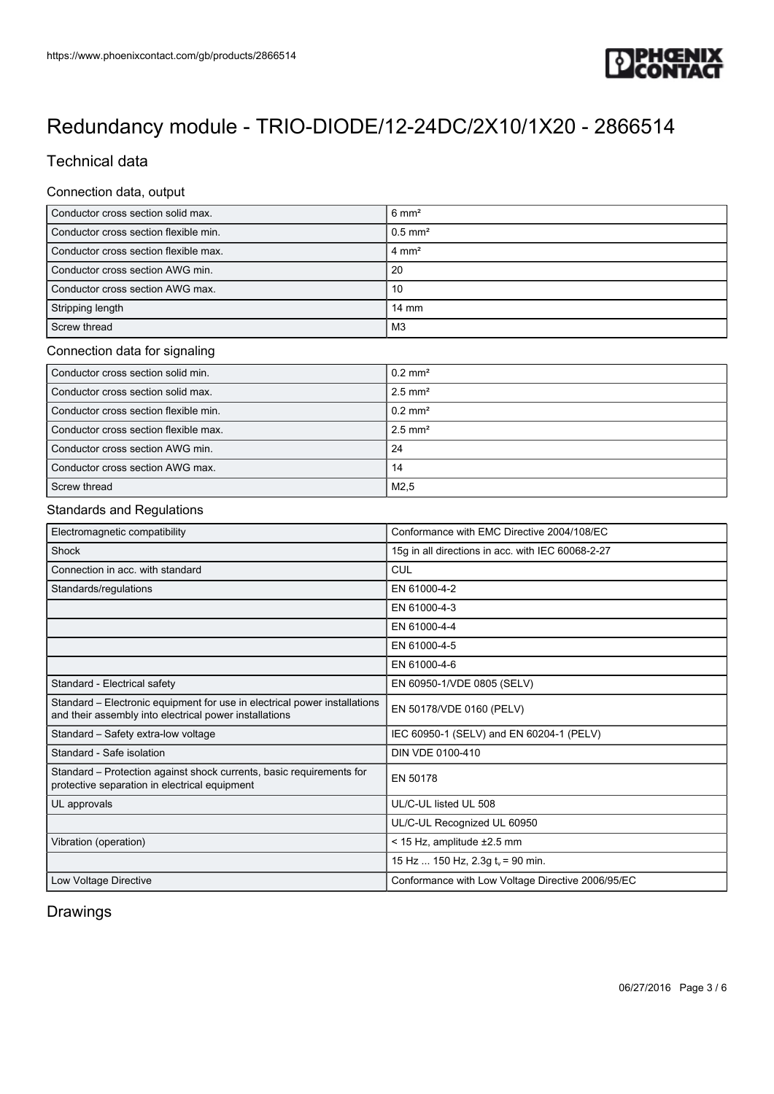

## Technical data

#### Connection data, output

| Conductor cross section solid max.    | $6 \text{ mm}^2$      |
|---------------------------------------|-----------------------|
| Conductor cross section flexible min. | $0.5$ mm <sup>2</sup> |
| Conductor cross section flexible max. | $4 \text{ mm}^2$      |
| Conductor cross section AWG min.      | 20                    |
| Conductor cross section AWG max.      | 10                    |
| Stripping length                      | $14 \text{ mm}$       |
| Screw thread                          | M3                    |

#### Connection data for signaling

| Conductor cross section solid min.    | $0.2$ mm <sup>2</sup> |
|---------------------------------------|-----------------------|
| Conductor cross section solid max.    | $2.5$ mm <sup>2</sup> |
| Conductor cross section flexible min. | $0.2$ mm <sup>2</sup> |
| Conductor cross section flexible max. | $2.5$ mm <sup>2</sup> |
| Conductor cross section AWG min.      | 24                    |
| Conductor cross section AWG max.      | 14                    |
| Screw thread                          | M <sub>2</sub> .5     |

#### Standards and Regulations

| Electromagnetic compatibility                                                                                                       | Conformance with EMC Directive 2004/108/EC        |
|-------------------------------------------------------------------------------------------------------------------------------------|---------------------------------------------------|
| Shock                                                                                                                               | 15g in all directions in acc. with IEC 60068-2-27 |
| Connection in acc. with standard                                                                                                    | CUL                                               |
| Standards/regulations                                                                                                               | EN 61000-4-2                                      |
|                                                                                                                                     | EN 61000-4-3                                      |
|                                                                                                                                     | EN 61000-4-4                                      |
|                                                                                                                                     | EN 61000-4-5                                      |
|                                                                                                                                     | EN 61000-4-6                                      |
| Standard - Electrical safety                                                                                                        | EN 60950-1/VDE 0805 (SELV)                        |
| Standard – Electronic equipment for use in electrical power installations<br>and their assembly into electrical power installations | EN 50178/VDE 0160 (PELV)                          |
| Standard - Safety extra-low voltage                                                                                                 | IEC 60950-1 (SELV) and EN 60204-1 (PELV)          |
| Standard - Safe isolation                                                                                                           | DIN VDE 0100-410                                  |
| Standard – Protection against shock currents, basic requirements for<br>protective separation in electrical equipment               | EN 50178                                          |
| UL approvals                                                                                                                        | UL/C-UL listed UL 508                             |
|                                                                                                                                     | UL/C-UL Recognized UL 60950                       |
| Vibration (operation)                                                                                                               | < 15 Hz, amplitude ±2.5 mm                        |
|                                                                                                                                     | 15 Hz  150 Hz, $2.3g tv = 90$ min.                |
| Low Voltage Directive                                                                                                               | Conformance with Low Voltage Directive 2006/95/EC |

## Drawings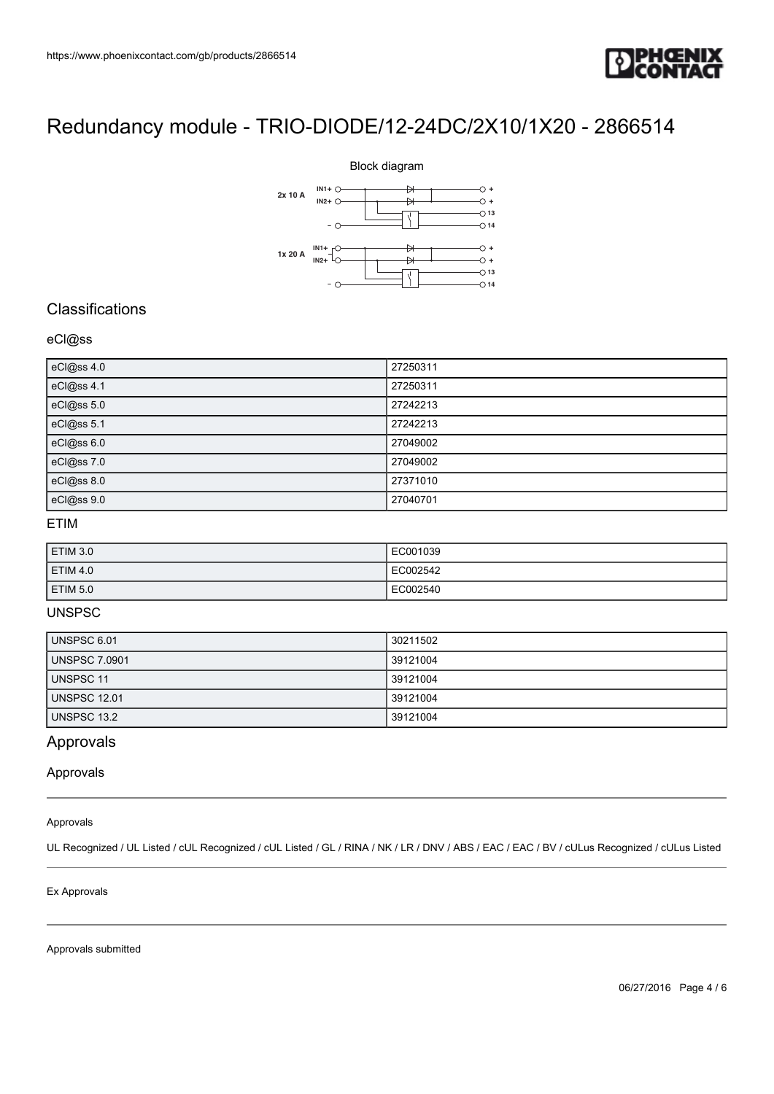



## **Classifications**

### eCl@ss

| eCl@ss 4.0 | 27250311 |
|------------|----------|
| eCl@ss 4.1 | 27250311 |
| eCl@ss 5.0 | 27242213 |
| eCl@ss 5.1 | 27242213 |
| eCl@ss 6.0 | 27049002 |
| eCl@ss 7.0 | 27049002 |
| eCl@ss 8.0 | 27371010 |
| eCl@ss 9.0 | 27040701 |

### ETIM

| ETIM 3.0 | EC001039 |
|----------|----------|
| ETIM 4.0 | EC002542 |
| ETIM 5.0 | EC002540 |

#### UNSPSC

| UNSPSC 6.01          | 30211502 |
|----------------------|----------|
| <b>UNSPSC 7.0901</b> | 39121004 |
| <b>UNSPSC 11</b>     | 39121004 |
| UNSPSC 12.01         | 39121004 |
| UNSPSC 13.2          | 39121004 |

## Approvals

Approvals

#### Approvals

UL Recognized / UL Listed / cUL Recognized / cUL Listed / GL / RINA / NK / LR / DNV / ABS / EAC / EAC / BV / cULus Recognized / cULus Listed

#### Ex Approvals

Approvals submitted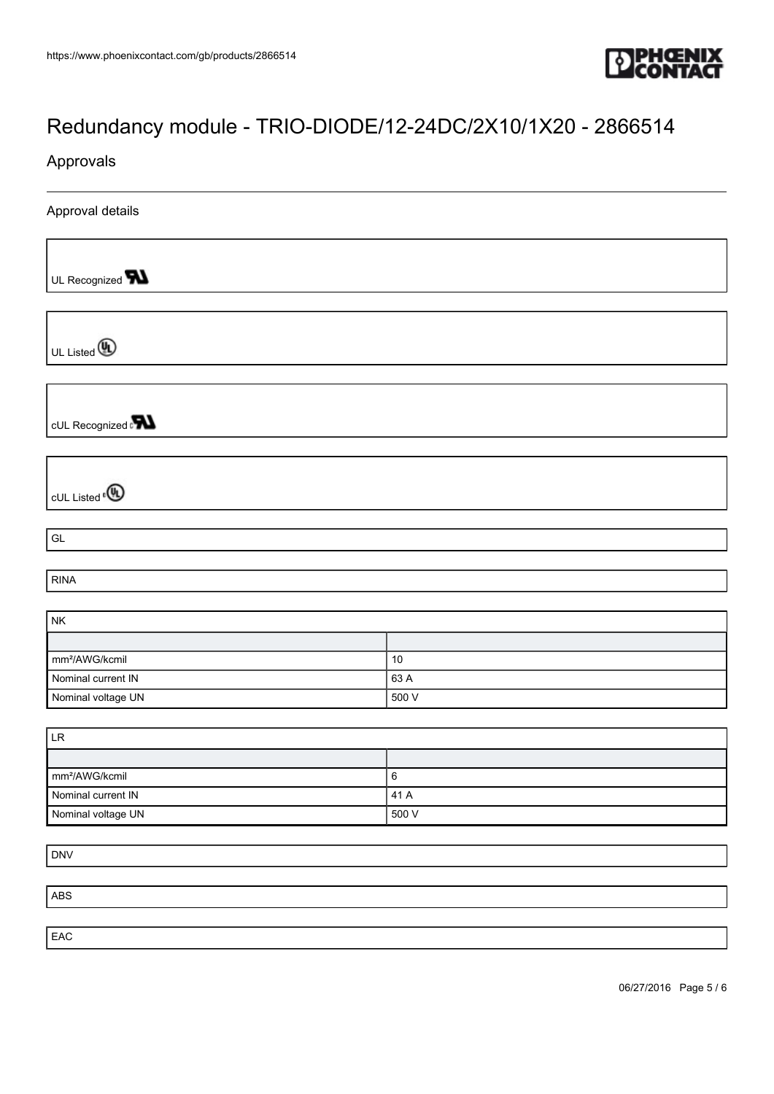

### Approvals

Approval details

UL Recognized **W** 

UL Listed **(A)** 

cUL Recognized a**value** 

cUL Listed<sup>®</sup>

GL

RINA

| <b>NK</b>                   |       |
|-----------------------------|-------|
|                             |       |
| $\mathsf{Imm}^2$ /AWG/kcmil | 10    |
| Nominal current IN          | 63 A  |
| Nominal voltage UN          | 500 V |

| <b>LR</b>                  |       |
|----------------------------|-------|
|                            |       |
| mm <sup>2</sup> /AWG/kcmil | b     |
| Nominal current IN         | 41 A  |
| Nominal voltage UN         | 500 V |

DNV

ABS

EAC